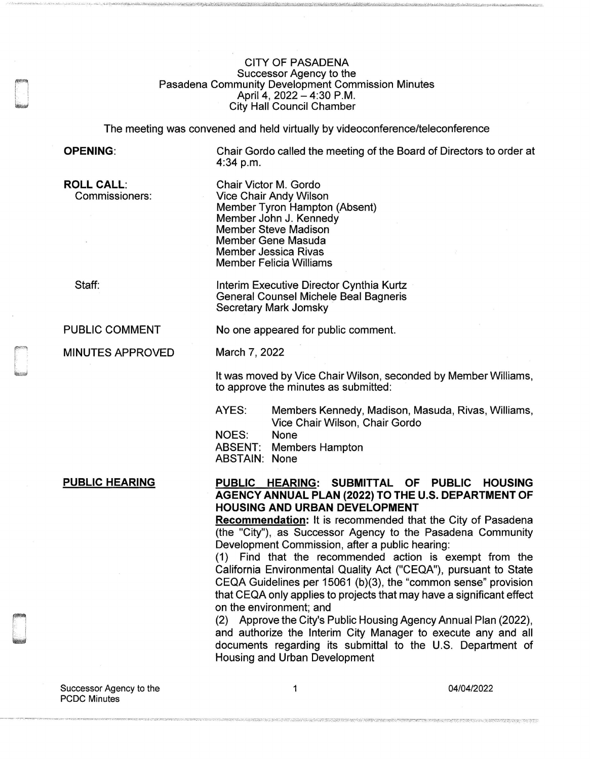## CITY OF PASADENA Successor Agency to the Pasadena Community Development Commission Minutes April 4, 2022 - 4:30 P.M. City Hall Council Chamber

The meeting was convened and held virtually by videoconference/teleconference

Member Tyron Hampton (Absent)

Interim Executive Director Cynthia Kurtz General Counsel Michele Beal Bagneris

No one appeared for public comment.

Chair Victor M. Gordo Vice Chair Andy Wilson

Member John J. Kennedy Member Steve Madison Member Gene Masuda Member Jessica Rivas Member Felicia Williams

Secretary Mark Jomsky

## **OPENING:**

Chair Gordo called the meeting of the Board of Directors to order at 4:34 p.m.

**ROLL CALL:**  Commissioners:

Staff:

PUBLIC COMMENT

MINUTES APPROVED

March 7, 2022

It was moved by Vice Chair Wilson, seconded by Member Williams, to approve the minutes as submitted:

AYES: Members Kennedy, Madison, Masuda, Rivas, Williams, Vice Chair Wilson, Chair Gordo

NOES: None

ABSENT: Members Hampton

ABSTAIN: None

## **PUBLIC HEARING**

**PUBLIC HEARING: SUBMITTAL OF PUBLIC HOUSING AGENCY ANNUAL PLAN (2022) TO THE U.S. DEPARTMENT OF HOUSING AND URBAN DEVELOPMENT** 

**Recommendation:** It is recommended that the City of Pasadena (the "City"), as Successor Agency to the Pasadena Community Development Commission, after a public hearing:

(1) Find that the recommended action is exempt from the California Environmental Quality Act ("CEQA"), pursuant to State CEQA Guidelines per 15061 (b)(3), the "common sense" provision that CEQA only applies to projects that may have a significant effect on the environment; and

(2) Approve the City's Public Housing Agency Annual Plan (2022), and authorize the Interim City Manager to execute any and all documents regarding its submittal to the U.S. Department of Housing and Urban Development

04/04/2022